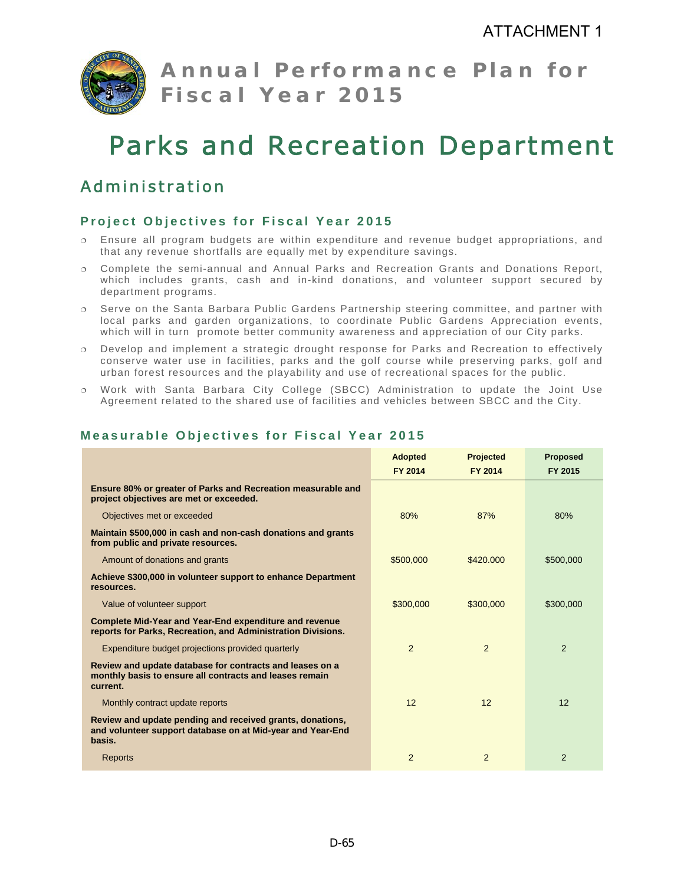

**Annual Performance Plan for Fiscal Year 2015** 

# Parks and Recreation Department

# Administration

## **Project Objectives for Fiscal Year 2015**

- Ensure all program budgets are within expenditure and revenue budget appropriations, and that any revenue shortfalls are equally met by expenditure savings.
- Complete the semi-annual and Annual Parks and Recreation Grants and Donations Report, which includes grants, cash and in-kind donations, and volunteer support secured by department programs.
- $\circ$  Serve on the Santa Barbara Public Gardens Partnership steering committee, and partner with local parks and garden organizations, to coordinate Public Gardens Appreciation events, which will in turn promote better community awareness and appreciation of our City parks.
- Develop and implement a strategic drought response for Parks and Recreation to effectively conserve water use in facilities, parks and the golf course while preserving parks, golf and urban forest resources and the playability and use of recreational spaces for the public.
- Work with Santa Barbara City College (SBCC) Administration to update the Joint Use Agreement related to the shared use of facilities and vehicles between SBCC and the City.

|                                                                                                                                   | <b>Adopted</b> | <b>Projected</b> | <b>Proposed</b> |
|-----------------------------------------------------------------------------------------------------------------------------------|----------------|------------------|-----------------|
|                                                                                                                                   | FY 2014        | FY 2014          | FY 2015         |
| Ensure 80% or greater of Parks and Recreation measurable and<br>project objectives are met or exceeded.                           |                |                  |                 |
| Objectives met or exceeded                                                                                                        | 80%            | 87%              | 80%             |
| Maintain \$500,000 in cash and non-cash donations and grants<br>from public and private resources.                                |                |                  |                 |
| Amount of donations and grants                                                                                                    | \$500,000      | \$420.000        | \$500,000       |
| Achieve \$300,000 in volunteer support to enhance Department<br>resources.                                                        |                |                  |                 |
| Value of volunteer support                                                                                                        | \$300,000      | \$300,000        | \$300,000       |
| <b>Complete Mid-Year and Year-End expenditure and revenue</b><br>reports for Parks, Recreation, and Administration Divisions.     |                |                  |                 |
| Expenditure budget projections provided quarterly                                                                                 | $\overline{2}$ | 2                | 2               |
| Review and update database for contracts and leases on a<br>monthly basis to ensure all contracts and leases remain<br>current.   |                |                  |                 |
| Monthly contract update reports                                                                                                   | 12             | 12               | 12              |
| Review and update pending and received grants, donations,<br>and volunteer support database on at Mid-year and Year-End<br>basis. |                |                  |                 |
| Reports                                                                                                                           | $\overline{2}$ | 2                | 2               |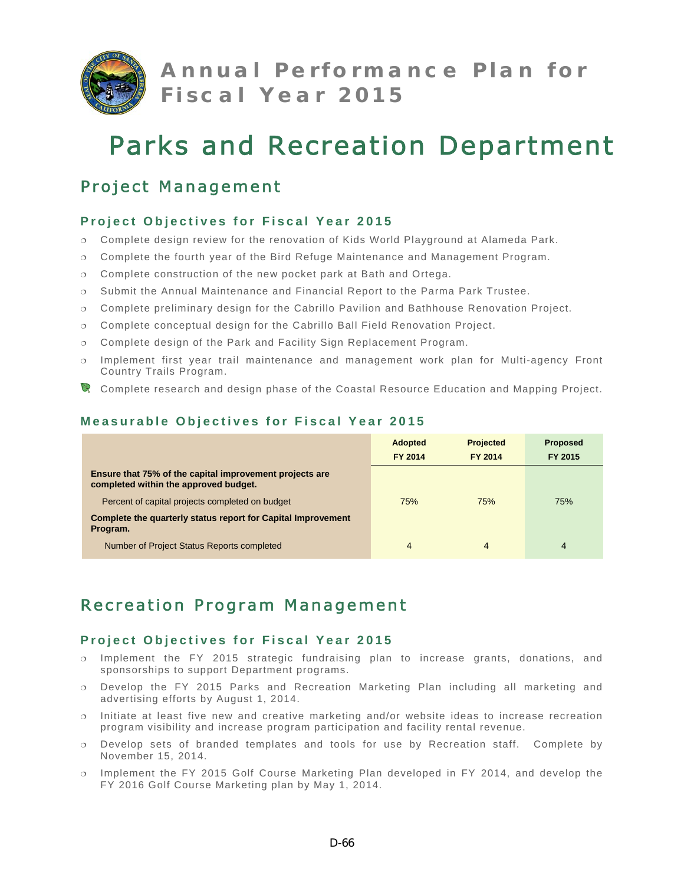

**Annual Performance Plan for Fiscal Year 2015** 

# Parks and Recreation Department

# Project Management

## **Project Objectives for Fiscal Year 2015**

- Complete design review for the renovation of Kids World Playground at Alameda Park.
- Complete the fourth year of the Bird Refuge Maintenance and Management Program.
- Complete construction of the new pocket park at Bath and Ortega.
- Submit the Annual Maintenance and Financial Report to the Parma Park Trustee.
- Complete preliminary design for the Cabrillo Pavilion and Bathhouse Renovation Project.
- Complete conceptual design for the Cabrillo Ball Field Renovation Project.
- Complete design of the Park and Facility Sign Replacement Program.
- $\circ$  Implement first year trail maintenance and management work plan for Multi-agency Front Country Trails Program.
- Complete research and design phase of the Coastal Resource Education and Mapping Project.

|                                                                                                  | <b>Adopted</b> | <b>Projected</b> | <b>Proposed</b> |
|--------------------------------------------------------------------------------------------------|----------------|------------------|-----------------|
|                                                                                                  | <b>FY 2014</b> | FY 2014          | FY 2015         |
| Ensure that 75% of the capital improvement projects are<br>completed within the approved budget. |                |                  |                 |
| Percent of capital projects completed on budget                                                  | 75%            | 75%              | 75%             |
| Complete the quarterly status report for Capital Improvement<br>Program.                         |                |                  |                 |
| Number of Project Status Reports completed                                                       | 4              | 4                | 4               |

## **Measurable Objectives for Fiscal Year 2015**

# Recreation Program Management

- $\circ$  Implement the FY 2015 strategic fundraising plan to increase grants, donations, and sponsorships to support Department programs.
- Develop the FY 2015 Parks and Recreation Marketing Plan including all marketing and advertising efforts by August 1, 2014.
- Initiate at least five new and creative marketing and/or website ideas to increase recreation program visibility and increase program participation and facility rental revenue.
- Develop sets of branded templates and tools for use by Recreation staff. Complete by November 15, 2014.
- Implement the FY 2015 Golf Course Marketing Plan developed in FY 2014, and develop the FY 2016 Golf Course Marketing plan by May 1, 2014.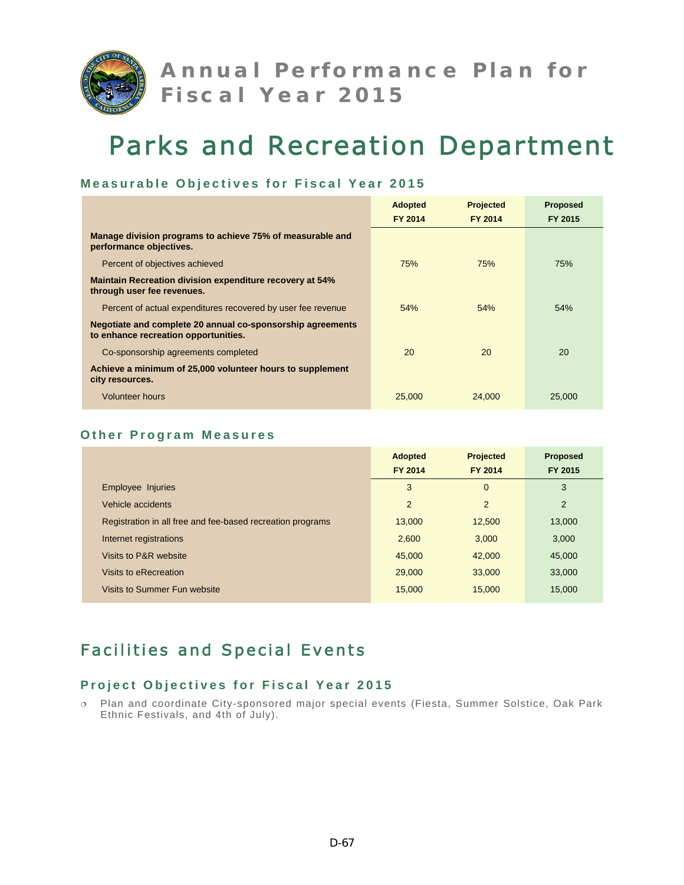

### **Measurable Objectives for Fiscal Year 2015**

|                                                                                                    | <b>Adopted</b> | <b>Projected</b> | <b>Proposed</b> |
|----------------------------------------------------------------------------------------------------|----------------|------------------|-----------------|
|                                                                                                    | FY 2014        | FY 2014          | FY 2015         |
| Manage division programs to achieve 75% of measurable and<br>performance objectives.               |                |                  |                 |
| Percent of objectives achieved                                                                     | 75%            | 75%              | 75%             |
| <b>Maintain Recreation division expenditure recovery at 54%</b><br>through user fee revenues.      |                |                  |                 |
| Percent of actual expenditures recovered by user fee revenue                                       | 54%            | 54%              | 54%             |
| Negotiate and complete 20 annual co-sponsorship agreements<br>to enhance recreation opportunities. |                |                  |                 |
| Co-sponsorship agreements completed                                                                | 20             | 20               | 20              |
| Achieve a minimum of 25,000 volunteer hours to supplement<br>city resources.                       |                |                  |                 |
| <b>Volunteer hours</b>                                                                             | 25,000         | 24,000           | 25,000          |

#### **Other Program Measures**

|                                                            | <b>Adopted</b><br>FY 2014 | <b>Projected</b><br>FY 2014 | Proposed<br>FY 2015 |
|------------------------------------------------------------|---------------------------|-----------------------------|---------------------|
| Employee Injuries                                          | 3                         | $\mathbf{0}$                | 3                   |
| Vehicle accidents                                          | $\overline{2}$            | $\overline{2}$              | 2                   |
| Registration in all free and fee-based recreation programs | 13,000                    | 12,500                      | 13,000              |
| Internet registrations                                     | 2.600                     | 3.000                       | 3.000               |
| Visits to P&R website                                      | 45,000                    | 42,000                      | 45,000              |
| Visits to eRecreation                                      | 29,000                    | 33,000                      | 33,000              |
| Visits to Summer Fun website                               | 15,000                    | 15,000                      | 15.000              |

# Facilities and Special Events

### **Project Objectives for Fiscal Year 2015**

 Plan and coordinate City-sponsored major special events (Fiesta, Summer Solstice, Oak Park Ethnic Festivals, and 4th of July).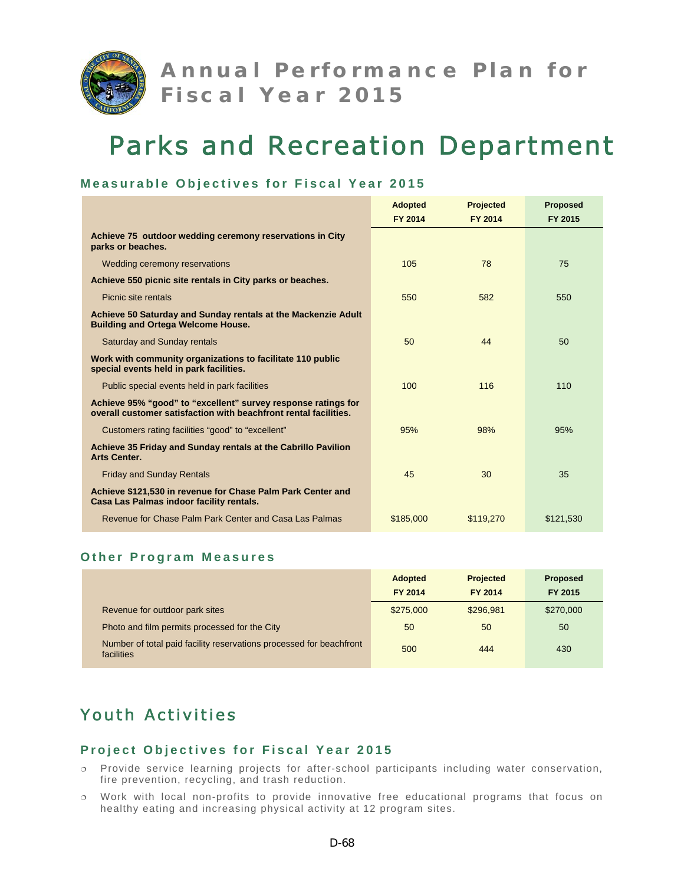

### **Measurable Objectives for Fiscal Year 2015**

|                                                                                                                                   | <b>Adopted</b> | <b>Projected</b> | <b>Proposed</b> |
|-----------------------------------------------------------------------------------------------------------------------------------|----------------|------------------|-----------------|
|                                                                                                                                   | <b>FY 2014</b> | FY 2014          | FY 2015         |
| Achieve 75 outdoor wedding ceremony reservations in City<br>parks or beaches.                                                     |                |                  |                 |
| Wedding ceremony reservations                                                                                                     | 105            | 78               | 75              |
| Achieve 550 picnic site rentals in City parks or beaches.                                                                         |                |                  |                 |
| Picnic site rentals                                                                                                               | 550            | 582              | 550             |
| Achieve 50 Saturday and Sunday rentals at the Mackenzie Adult<br><b>Building and Ortega Welcome House.</b>                        |                |                  |                 |
| <b>Saturday and Sunday rentals</b>                                                                                                | 50             | 44               | 50              |
| Work with community organizations to facilitate 110 public<br>special events held in park facilities.                             |                |                  |                 |
| Public special events held in park facilities                                                                                     | 100            | 116              | 110             |
| Achieve 95% "good" to "excellent" survey response ratings for<br>overall customer satisfaction with beachfront rental facilities. |                |                  |                 |
| Customers rating facilities "good" to "excellent"                                                                                 | 95%            | 98%              | 95%             |
| Achieve 35 Friday and Sunday rentals at the Cabrillo Pavilion<br><b>Arts Center.</b>                                              |                |                  |                 |
| <b>Friday and Sunday Rentals</b>                                                                                                  | 45             | 30               | 35              |
| Achieve \$121,530 in revenue for Chase Palm Park Center and<br>Casa Las Palmas indoor facility rentals.                           |                |                  |                 |
| Revenue for Chase Palm Park Center and Casa Las Palmas                                                                            | \$185,000      | \$119,270        | \$121,530       |

#### **Other Program Measures**

|                                                                                   | <b>Adopted</b> | <b>Projected</b> | <b>Proposed</b> |
|-----------------------------------------------------------------------------------|----------------|------------------|-----------------|
|                                                                                   | FY 2014        | <b>FY 2014</b>   | FY 2015         |
| Revenue for outdoor park sites                                                    | \$275,000      | \$296,981        | \$270,000       |
| Photo and film permits processed for the City                                     | 50             | 50               | 50              |
| Number of total paid facility reservations processed for beachfront<br>facilities | 500            | 444              | 430             |

# Youth Activities

- Provide service learning projects for after-school participants including water conservation, fire prevention, recycling, and trash reduction.
- Work with local non-profits to provide innovative free educational programs that focus on healthy eating and increasing physical activity at 12 program sites.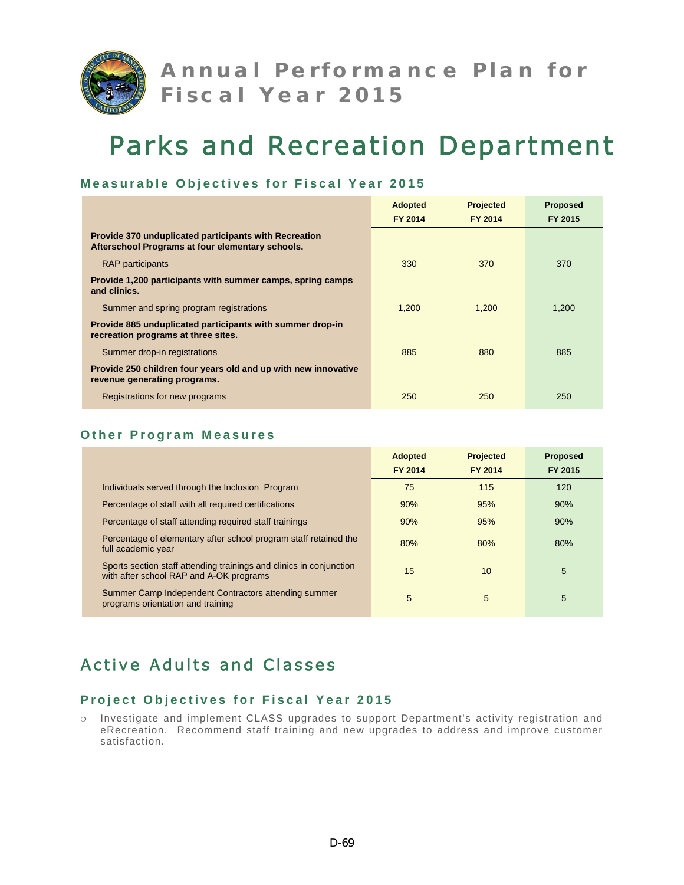

#### **Measurable Objectives for Fiscal Year 2015**

|                                                                                                                  | <b>Adopted</b> | <b>Projected</b> | <b>Proposed</b> |
|------------------------------------------------------------------------------------------------------------------|----------------|------------------|-----------------|
|                                                                                                                  | FY 2014        | FY 2014          | FY 2015         |
| <b>Provide 370 unduplicated participants with Recreation</b><br>Afterschool Programs at four elementary schools. |                |                  |                 |
| <b>RAP</b> participants                                                                                          | 330            | 370              | 370             |
| Provide 1,200 participants with summer camps, spring camps<br>and clinics.                                       |                |                  |                 |
| Summer and spring program registrations                                                                          | 1.200          | 1.200            | 1.200           |
| Provide 885 unduplicated participants with summer drop-in<br>recreation programs at three sites.                 |                |                  |                 |
| Summer drop-in registrations                                                                                     | 885            | 880              | 885             |
| Provide 250 children four years old and up with new innovative<br>revenue generating programs.                   |                |                  |                 |
| Registrations for new programs                                                                                   | 250            | 250              | 250             |

#### **Other Program Measures**

|                                                                                                                | <b>Adopted</b><br>FY 2014 | <b>Projected</b><br>FY 2014 | <b>Proposed</b><br>FY 2015 |
|----------------------------------------------------------------------------------------------------------------|---------------------------|-----------------------------|----------------------------|
| Individuals served through the Inclusion Program                                                               | 75                        | 115                         | 120                        |
| Percentage of staff with all required certifications                                                           | 90%                       | 95%                         | 90%                        |
| Percentage of staff attending required staff trainings                                                         | 90%                       | 95%                         | 90%                        |
| Percentage of elementary after school program staff retained the<br>full academic year                         | 80%                       | 80%                         | 80%                        |
| Sports section staff attending trainings and clinics in conjunction<br>with after school RAP and A-OK programs | 15                        | 10                          | 5                          |
| Summer Camp Independent Contractors attending summer<br>programs orientation and training                      | 5                         | 5                           | 5                          |

# Active Adults and Classes

### **Project Objectives for Fiscal Year 2015**

 Investigate and implement CLASS upgrades to support Department's activity registration and eRecreation. Recommend staff training and new upgrades to address and improve customer satisfaction.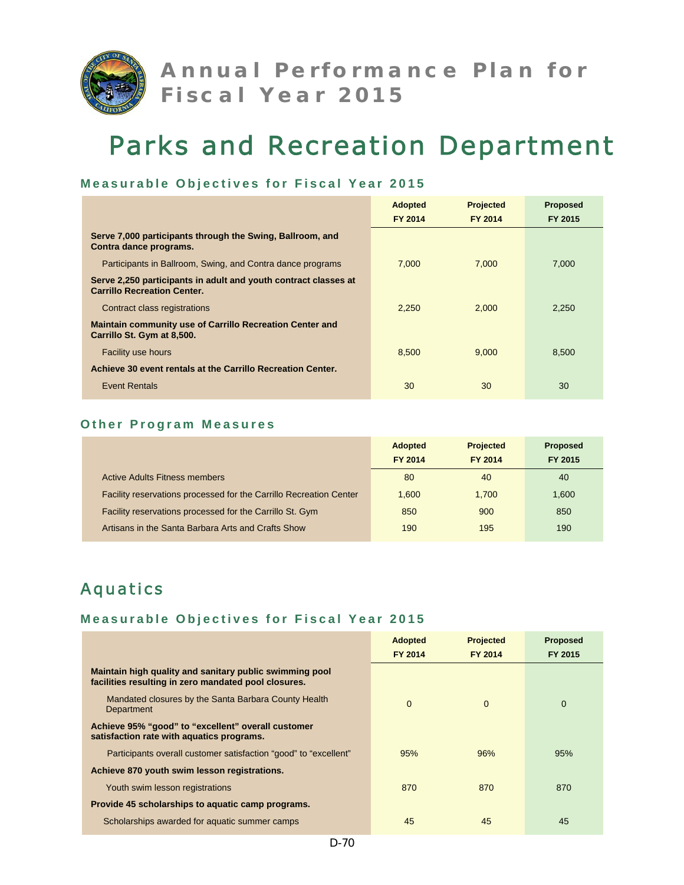

## **Measurable Objectives for Fiscal Year 2015**

|                                                                                                       | <b>Adopted</b> | <b>Projected</b> | <b>Proposed</b> |
|-------------------------------------------------------------------------------------------------------|----------------|------------------|-----------------|
|                                                                                                       | FY 2014        | FY 2014          | FY 2015         |
| Serve 7,000 participants through the Swing, Ballroom, and<br>Contra dance programs.                   |                |                  |                 |
| Participants in Ballroom, Swing, and Contra dance programs                                            | 7.000          | 7.000            | 7.000           |
| Serve 2,250 participants in adult and youth contract classes at<br><b>Carrillo Recreation Center.</b> |                |                  |                 |
| Contract class registrations                                                                          | 2.250          | 2,000            | 2,250           |
| <b>Maintain community use of Carrillo Recreation Center and</b><br>Carrillo St. Gym at 8,500.         |                |                  |                 |
| <b>Facility use hours</b>                                                                             | 8,500          | 9,000            | 8,500           |
| Achieve 30 event rentals at the Carrillo Recreation Center.                                           |                |                  |                 |
| <b>Event Rentals</b>                                                                                  | 30             | 30               | 30              |

## **Other Program Measures**

|                                                                    | <b>Adopted</b> | <b>Projected</b> | <b>Proposed</b> |
|--------------------------------------------------------------------|----------------|------------------|-----------------|
|                                                                    | FY 2014        | FY 2014          | FY 2015         |
| <b>Active Adults Fitness members</b>                               | 80             | 40               | 40              |
| Facility reservations processed for the Carrillo Recreation Center | 1.600          | 1.700            | 1.600           |
| Facility reservations processed for the Carrillo St. Gym           | 850            | 900              | 850             |
| Artisans in the Santa Barbara Arts and Crafts Show                 | 190            | 195              | 190             |

# Aquatics

|                                                                                                                 | <b>Adopted</b> | <b>Projected</b> | <b>Proposed</b> |
|-----------------------------------------------------------------------------------------------------------------|----------------|------------------|-----------------|
|                                                                                                                 | FY 2014        | FY 2014          | FY 2015         |
| Maintain high quality and sanitary public swimming pool<br>facilities resulting in zero mandated pool closures. |                |                  |                 |
| Mandated closures by the Santa Barbara County Health<br>Department                                              | $\Omega$       | $\Omega$         | $\Omega$        |
| Achieve 95% "good" to "excellent" overall customer<br>satisfaction rate with aquatics programs.                 |                |                  |                 |
| Participants overall customer satisfaction "good" to "excellent"                                                | 95%            | 96%              | 95%             |
| Achieve 870 youth swim lesson registrations.                                                                    |                |                  |                 |
| Youth swim lesson registrations                                                                                 | 870            | 870              | 870             |
| Provide 45 scholarships to aquatic camp programs.                                                               |                |                  |                 |
| Scholarships awarded for aquatic summer camps                                                                   | 45             | 45               | 45              |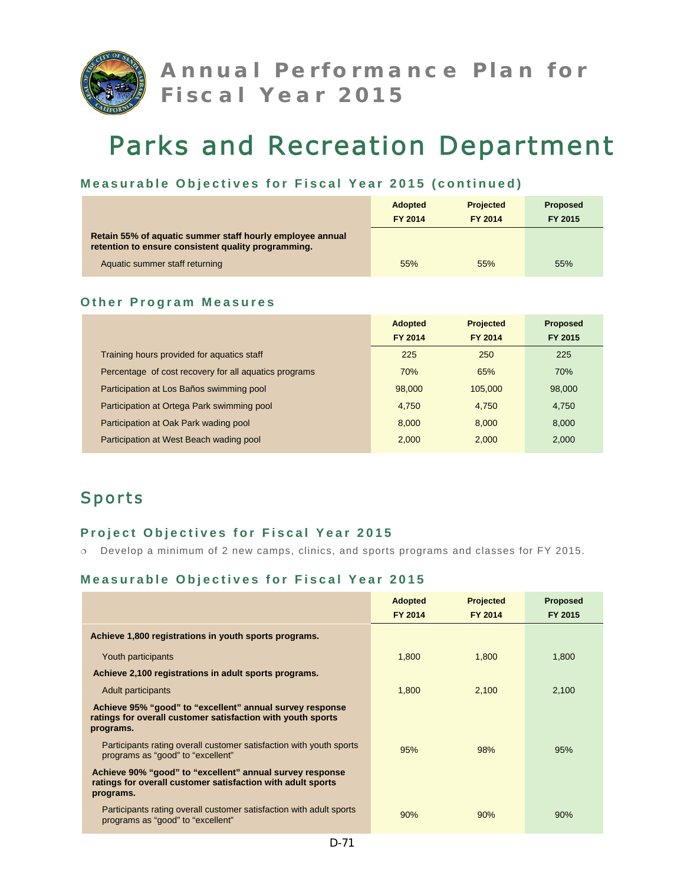

## **Measurable Objectives for Fiscal Year 2015 (continued)**

|                                                                                                                  | <b>Adopted</b><br><b>FY 2014</b> | <b>Projected</b><br>FY 2014 | <b>Proposed</b><br>FY 2015 |
|------------------------------------------------------------------------------------------------------------------|----------------------------------|-----------------------------|----------------------------|
| Retain 55% of aquatic summer staff hourly employee annual<br>retention to ensure consistent quality programming. |                                  |                             |                            |
| Aquatic summer staff returning                                                                                   | 55%                              | 55%                         | 55%                        |

#### **Other Program Measures**

|                                                       | <b>Adopted</b> | <b>Projected</b> | <b>Proposed</b> |
|-------------------------------------------------------|----------------|------------------|-----------------|
|                                                       | <b>FY 2014</b> | <b>FY 2014</b>   | FY 2015         |
| Training hours provided for aquatics staff            | 225            | 250              | 225             |
| Percentage of cost recovery for all aquatics programs | 70%            | 65%              | 70%             |
| Participation at Los Baños swimming pool              | 98,000         | 105.000          | 98,000          |
| Participation at Ortega Park swimming pool            | 4,750          | 4.750            | 4,750           |
| Participation at Oak Park wading pool                 | 8.000          | 8.000            | 8.000           |
| Participation at West Beach wading pool               | 2,000          | 2.000            | 2,000           |

# Sports

## **Project Objectives for Fiscal Year 2015**

Develop a minimum of 2 new camps, clinics, and sports programs and classes for FY 2015.

|                                                                                                                                      | <b>Adopted</b><br><b>FY 2014</b> | <b>Projected</b><br>FY 2014 | <b>Proposed</b><br>FY 2015 |
|--------------------------------------------------------------------------------------------------------------------------------------|----------------------------------|-----------------------------|----------------------------|
| Achieve 1,800 registrations in youth sports programs.                                                                                |                                  |                             |                            |
| Youth participants                                                                                                                   | 1,800                            | 1,800                       | 1,800                      |
| Achieve 2,100 registrations in adult sports programs.                                                                                |                                  |                             |                            |
| Adult participants                                                                                                                   | 1,800                            | 2,100                       | 2,100                      |
| Achieve 95% "good" to "excellent" annual survey response<br>ratings for overall customer satisfaction with youth sports<br>programs. |                                  |                             |                            |
| Participants rating overall customer satisfaction with youth sports<br>programs as "good" to "excellent"                             | 95%                              | 98%                         | 95%                        |
| Achieve 90% "good" to "excellent" annual survey response<br>ratings for overall customer satisfaction with adult sports<br>programs. |                                  |                             |                            |
| Participants rating overall customer satisfaction with adult sports<br>programs as "good" to "excellent"                             | 90%                              | 90%                         | 90%                        |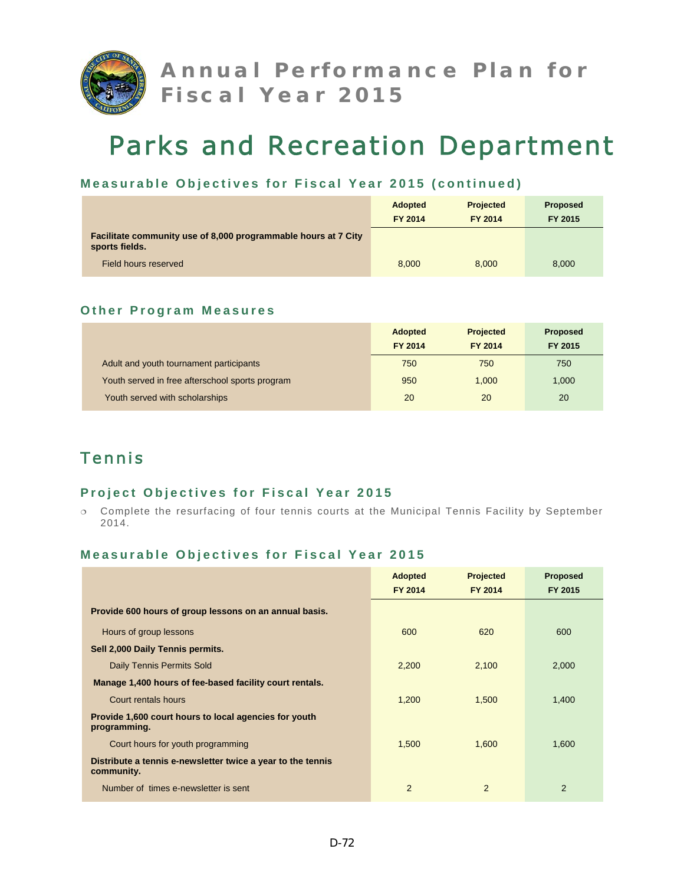

### **Measurable Objectives for Fiscal Year 2015 (continued)**

|                                                                                  | <b>Adopted</b><br><b>FY 2014</b> | <b>Projected</b><br>FY 2014 | <b>Proposed</b><br>FY 2015 |
|----------------------------------------------------------------------------------|----------------------------------|-----------------------------|----------------------------|
| Facilitate community use of 8,000 programmable hours at 7 City<br>sports fields. |                                  |                             |                            |
| Field hours reserved                                                             | 8.000                            | 8.000                       | 8.000                      |

#### **Other Program Measures**

|                                                 | <b>Adopted</b><br><b>FY 2014</b> | <b>Projected</b><br>FY 2014 | <b>Proposed</b><br>FY 2015 |
|-------------------------------------------------|----------------------------------|-----------------------------|----------------------------|
| Adult and youth tournament participants         | 750                              | 750                         | 750                        |
| Youth served in free afterschool sports program | 950                              | 1.000                       | 1,000                      |
| Youth served with scholarships                  | 20                               | 20                          | 20                         |

# Tennis

### **Project Objectives for Fiscal Year 2015**

 Complete the resurfacing of four tennis courts at the Municipal Tennis Facility by September 2014.

|                                                                           | <b>Adopted</b><br>FY 2014 | <b>Projected</b><br>FY 2014 | <b>Proposed</b><br>FY 2015 |
|---------------------------------------------------------------------------|---------------------------|-----------------------------|----------------------------|
|                                                                           |                           |                             |                            |
| Provide 600 hours of group lessons on an annual basis.                    |                           |                             |                            |
| Hours of group lessons                                                    | 600                       | 620                         | 600                        |
| Sell 2,000 Daily Tennis permits.                                          |                           |                             |                            |
| <b>Daily Tennis Permits Sold</b>                                          | 2,200                     | 2,100                       | 2,000                      |
| Manage 1,400 hours of fee-based facility court rentals.                   |                           |                             |                            |
| Court rentals hours                                                       | 1,200                     | 1,500                       | 1,400                      |
| Provide 1,600 court hours to local agencies for youth<br>programming.     |                           |                             |                            |
| Court hours for youth programming                                         | 1,500                     | 1,600                       | 1,600                      |
| Distribute a tennis e-newsletter twice a year to the tennis<br>community. |                           |                             |                            |
| Number of times e-newsletter is sent                                      | $\overline{2}$            | 2                           | $\overline{2}$             |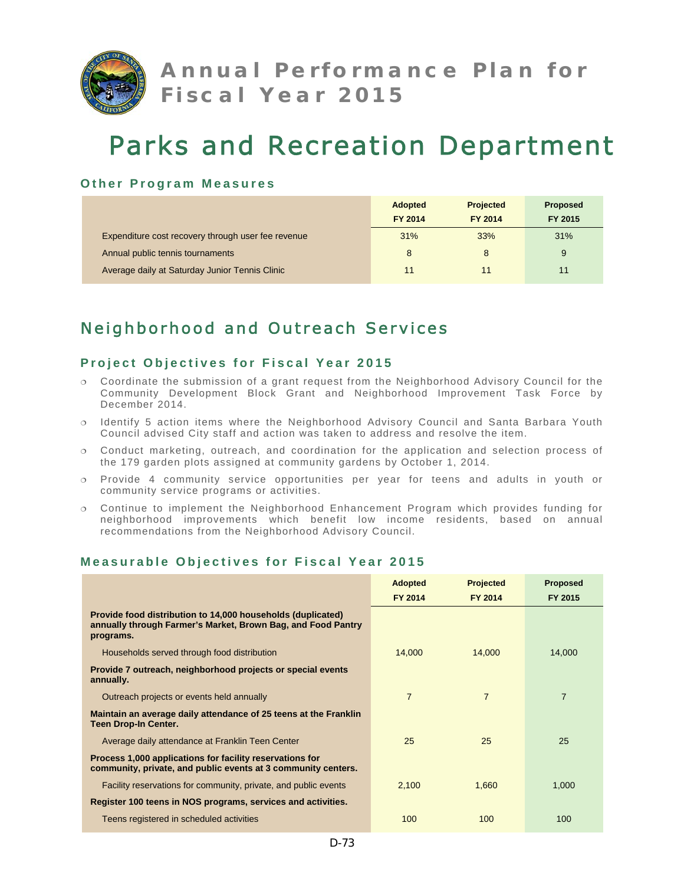

#### **Other Program Measures**

|                                                    | <b>Adopted</b> | <b>Projected</b> | <b>Proposed</b> |
|----------------------------------------------------|----------------|------------------|-----------------|
|                                                    | <b>FY 2014</b> | FY 2014          | FY 2015         |
| Expenditure cost recovery through user fee revenue | 31%            | 33%              | 31%             |
| Annual public tennis tournaments                   | 8              | 8                | 9               |
| Average daily at Saturday Junior Tennis Clinic     | 11             | 11               | 11              |

# Neighborhood and Outreach Services

### **Project Objectives for Fiscal Year 2015**

- Coordinate the submission of a grant request from the Neighborhood Advisory Council for the Community Development Block Grant and Neighborhood Improvement Task Force by December 2014.
- $\circ$  Identify 5 action items where the Neighborhood Advisory Council and Santa Barbara Youth Council advised City staff and action was taken to address and resolve the item.
- $\circ$  Conduct marketing, outreach, and coordination for the application and selection process of the 179 garden plots assigned at community gardens by October 1, 2014.
- Provide 4 community service opportunities per year for teens and adults in youth or community service programs or activities.
- Continue to implement the Neighborhood Enhancement Program which provides funding for neighborhood improvements which benefit low income residents, based on annual recommendations from the Neighborhood Advisory Council.

|                                                                                                                                          | <b>Adopted</b><br><b>FY 2014</b> | <b>Projected</b><br>FY 2014 | <b>Proposed</b><br>FY 2015 |
|------------------------------------------------------------------------------------------------------------------------------------------|----------------------------------|-----------------------------|----------------------------|
| Provide food distribution to 14,000 households (duplicated)<br>annually through Farmer's Market, Brown Bag, and Food Pantry<br>programs. |                                  |                             |                            |
| Households served through food distribution                                                                                              | 14,000                           | 14.000                      | 14.000                     |
| Provide 7 outreach, neighborhood projects or special events<br>annually.                                                                 |                                  |                             |                            |
| Outreach projects or events held annually                                                                                                | $\overline{7}$                   | $\overline{7}$              | $\overline{7}$             |
| Maintain an average daily attendance of 25 teens at the Franklin<br><b>Teen Drop-In Center.</b>                                          |                                  |                             |                            |
| Average daily attendance at Franklin Teen Center                                                                                         | 25                               | 25                          | 25                         |
| Process 1,000 applications for facility reservations for<br>community, private, and public events at 3 community centers.                |                                  |                             |                            |
| Facility reservations for community, private, and public events                                                                          | 2,100                            | 1,660                       | 1,000                      |
| Register 100 teens in NOS programs, services and activities.                                                                             |                                  |                             |                            |
| Teens registered in scheduled activities                                                                                                 | 100                              | 100                         | 100                        |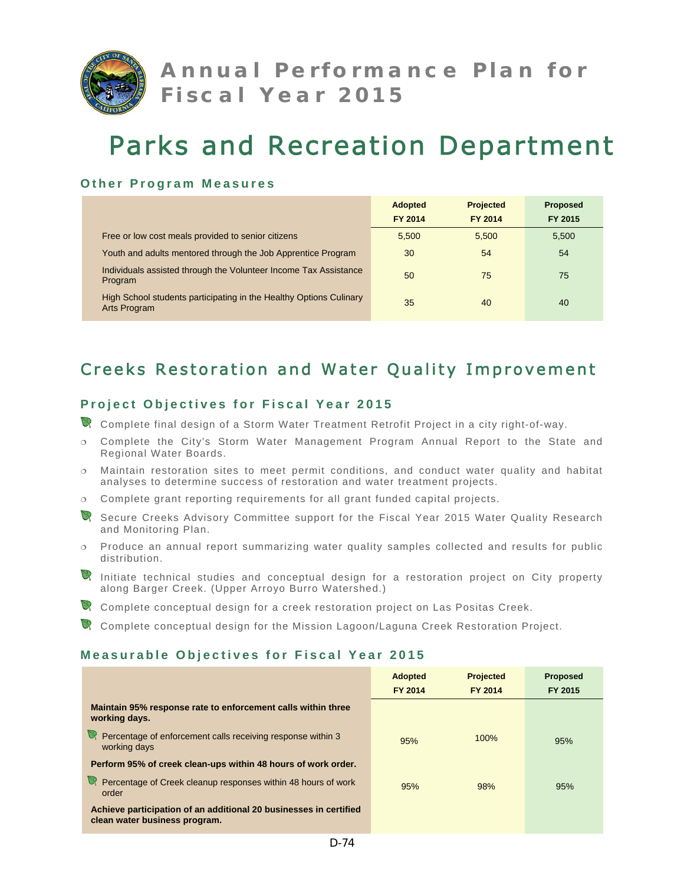

#### **Other Program Measures**

|                                                                                    | <b>Adopted</b><br>FY 2014 | <b>Projected</b><br>FY 2014 | <b>Proposed</b><br>FY 2015 |
|------------------------------------------------------------------------------------|---------------------------|-----------------------------|----------------------------|
|                                                                                    |                           |                             |                            |
| Free or low cost meals provided to senior citizens                                 | 5,500                     | 5.500                       | 5,500                      |
| Youth and adults mentored through the Job Apprentice Program                       | 30                        | 54                          | 54                         |
| Individuals assisted through the Volunteer Income Tax Assistance<br>Program        | 50                        | 75                          | 75                         |
| High School students participating in the Healthy Options Culinary<br>Arts Program | 35                        | 40                          | 40                         |

# Creeks Restoration and Water Quality Improvement

## **Project Objectives for Fiscal Year 2015**

- Complete final design of a Storm Water Treatment Retrofit Project in a city right-of-way.
- Complete the City's Storm Water Management Program Annual Report to the State and Regional Water Boards.
- Maintain restoration sites to meet permit conditions, and conduct water quality and habitat analyses to determine success of restoration and water treatment projects.
- Complete grant reporting requirements for all grant funded capital projects.
- Secure Creeks Advisory Committee support for the Fiscal Year 2015 Water Quality Research and Monitoring Plan.
- $\circ$  Produce an annual report summarizing water quality samples collected and results for public distribution.
- Initiate technical studies and conceptual design for a restoration project on City property along Barger Creek. (Upper Arroyo Burro Watershed.)
- Complete conceptual design for a creek restoration project on Las Positas Creek.
- Complete conceptual design for the Mission Lagoon/Laguna Creek Restoration Project.

|                                                                                                    | <b>Adopted</b><br><b>FY 2014</b> | <b>Projected</b><br>FY 2014 | <b>Proposed</b><br>FY 2015 |
|----------------------------------------------------------------------------------------------------|----------------------------------|-----------------------------|----------------------------|
| Maintain 95% response rate to enforcement calls within three<br>working days.                      |                                  |                             |                            |
| Percentage of enforcement calls receiving response within 3<br>working days                        | 95%                              | 100%                        | 95%                        |
| Perform 95% of creek clean-ups within 48 hours of work order.                                      |                                  |                             |                            |
| Percentage of Creek cleanup responses within 48 hours of work<br>order                             | 95%                              | 98%                         | 95%                        |
| Achieve participation of an additional 20 businesses in certified<br>clean water business program. |                                  |                             |                            |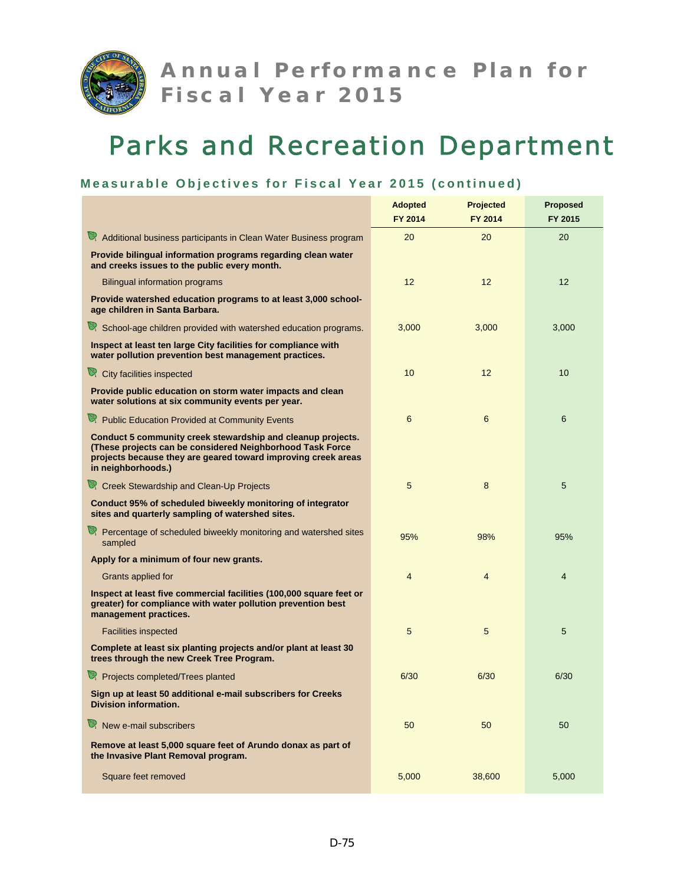

## **Measurable Objectives for Fiscal Year 2015 (continued)**

|                                                                                                                                                                                                                 | <b>Adopted</b><br>FY 2014 | <b>Projected</b><br>FY 2014 | <b>Proposed</b><br>FY 2015 |
|-----------------------------------------------------------------------------------------------------------------------------------------------------------------------------------------------------------------|---------------------------|-----------------------------|----------------------------|
| Additional business participants in Clean Water Business program                                                                                                                                                | 20                        | 20                          | 20                         |
| Provide bilingual information programs regarding clean water<br>and creeks issues to the public every month.                                                                                                    |                           |                             |                            |
| <b>Bilingual information programs</b>                                                                                                                                                                           | 12                        | 12                          | 12                         |
| Provide watershed education programs to at least 3,000 school-<br>age children in Santa Barbara.                                                                                                                |                           |                             |                            |
| School-age children provided with watershed education programs.                                                                                                                                                 | 3,000                     | 3,000                       | 3,000                      |
| Inspect at least ten large City facilities for compliance with<br>water pollution prevention best management practices.                                                                                         |                           |                             |                            |
| City facilities inspected                                                                                                                                                                                       | 10                        | 12                          | 10 <sup>1</sup>            |
| Provide public education on storm water impacts and clean<br>water solutions at six community events per year.                                                                                                  |                           |                             |                            |
| Public Education Provided at Community Events                                                                                                                                                                   | 6                         | 6                           | 6                          |
| Conduct 5 community creek stewardship and cleanup projects.<br>(These projects can be considered Neighborhood Task Force<br>projects because they are geared toward improving creek areas<br>in neighborhoods.) |                           |                             |                            |
| Creek Stewardship and Clean-Up Projects                                                                                                                                                                         | 5                         | 8                           | 5                          |
| Conduct 95% of scheduled biweekly monitoring of integrator<br>sites and quarterly sampling of watershed sites.                                                                                                  |                           |                             |                            |
| Percentage of scheduled biweekly monitoring and watershed sites<br>sampled                                                                                                                                      | 95%                       | 98%                         | 95%                        |
| Apply for a minimum of four new grants.                                                                                                                                                                         |                           |                             |                            |
| Grants applied for                                                                                                                                                                                              | $\overline{4}$            | 4                           | 4                          |
| Inspect at least five commercial facilities (100,000 square feet or<br>greater) for compliance with water pollution prevention best<br>management practices.                                                    |                           |                             |                            |
| <b>Facilities inspected</b>                                                                                                                                                                                     | 5                         | 5                           | 5                          |
| Complete at least six planting projects and/or plant at least 30<br>trees through the new Creek Tree Program.                                                                                                   |                           |                             |                            |
| Projects completed/Trees planted                                                                                                                                                                                | 6/30                      | 6/30                        | 6/30                       |
| Sign up at least 50 additional e-mail subscribers for Creeks<br><b>Division information.</b>                                                                                                                    |                           |                             |                            |
| $\mathbb{R}$ New e-mail subscribers                                                                                                                                                                             | 50                        | 50                          | 50                         |
| Remove at least 5,000 square feet of Arundo donax as part of<br>the Invasive Plant Removal program.                                                                                                             |                           |                             |                            |
| Square feet removed                                                                                                                                                                                             | 5,000                     | 38,600                      | 5,000                      |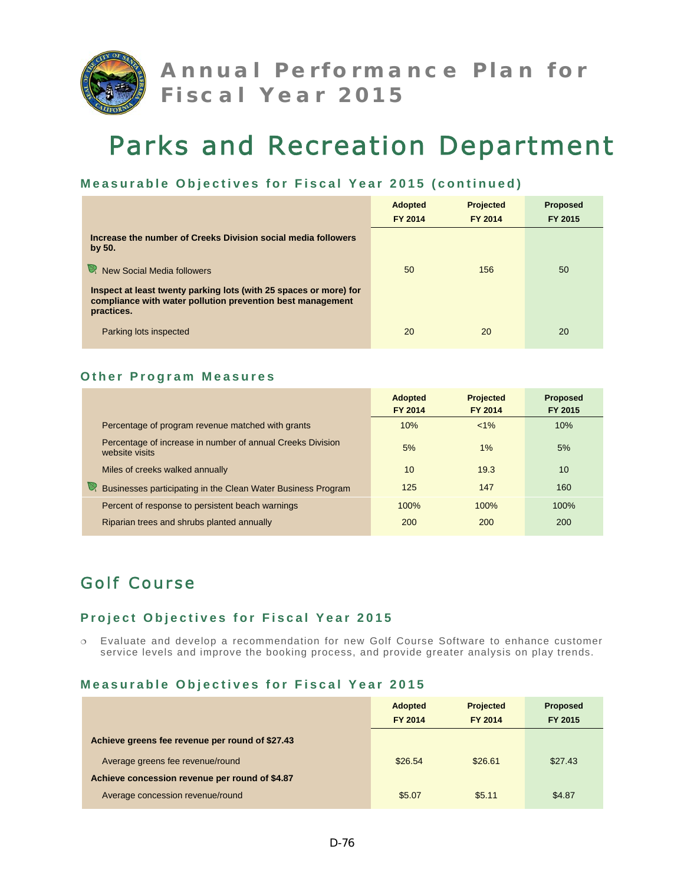

#### **Measurable Objectives for Fiscal Year 2015 (continued)**

|                                                                                                                                               | <b>Adopted</b><br><b>FY 2014</b> | <b>Projected</b><br>FY 2014 | <b>Proposed</b><br>FY 2015 |
|-----------------------------------------------------------------------------------------------------------------------------------------------|----------------------------------|-----------------------------|----------------------------|
| Increase the number of Creeks Division social media followers<br>by 50.                                                                       |                                  |                             |                            |
| New Social Media followers                                                                                                                    | 50                               | 156                         | 50                         |
| Inspect at least twenty parking lots (with 25 spaces or more) for<br>compliance with water pollution prevention best management<br>practices. |                                  |                             |                            |
| Parking lots inspected                                                                                                                        | 20                               | 20                          | 20                         |

#### **Other Program Measures**

|                                                                              | <b>Adopted</b><br>FY 2014 | <b>Projected</b><br>FY 2014 | <b>Proposed</b><br>FY 2015 |
|------------------------------------------------------------------------------|---------------------------|-----------------------------|----------------------------|
| Percentage of program revenue matched with grants                            | 10%                       | $< 1\%$                     | 10%                        |
| Percentage of increase in number of annual Creeks Division<br>website visits | 5%                        | $1\%$                       | 5%                         |
| Miles of creeks walked annually                                              | 10                        | 19.3                        | 10 <sup>1</sup>            |
| Businesses participating in the Clean Water Business Program                 | 125                       | 147                         | 160                        |
| Percent of response to persistent beach warnings                             | 100%                      | 100%                        | 100%                       |
| Riparian trees and shrubs planted annually                                   | 200                       | 200                         | <b>200</b>                 |

# Golf Course

### **Project Objectives for Fiscal Year 2015**

 Evaluate and develop a recommendation for new Golf Course Software to enhance customer service levels and improve the booking process, and provide greater analysis on play trends.

|                                                 | <b>Adopted</b><br>FY 2014 | <b>Projected</b><br>FY 2014 | Proposed<br>FY 2015 |
|-------------------------------------------------|---------------------------|-----------------------------|---------------------|
| Achieve greens fee revenue per round of \$27.43 |                           |                             |                     |
| Average greens fee revenue/round                | \$26.54                   | \$26.61                     | \$27.43             |
| Achieve concession revenue per round of \$4.87  |                           |                             |                     |
| Average concession revenue/round                | \$5.07                    | \$5.11                      | \$4.87              |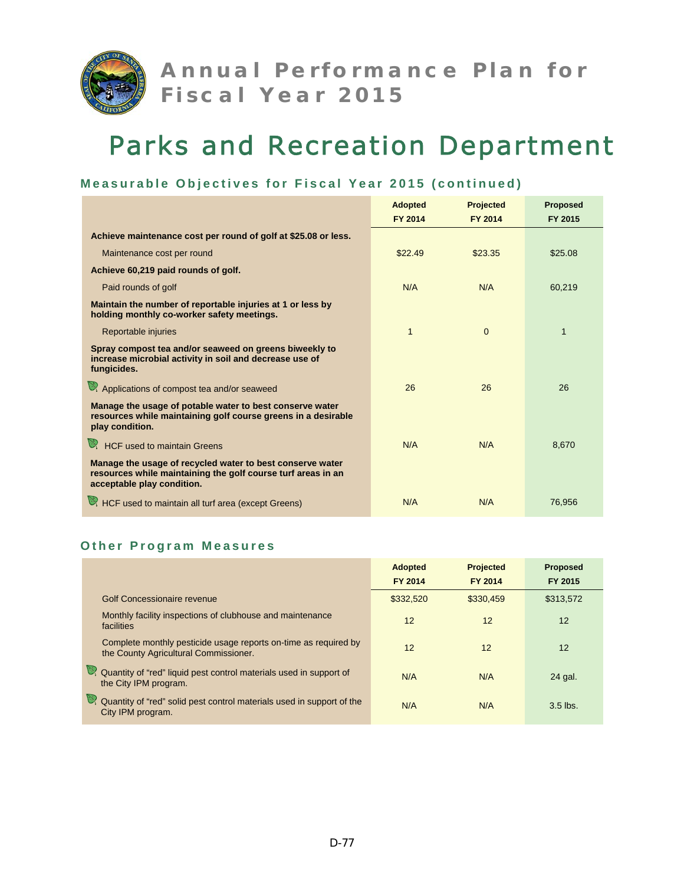

## **Measurable Objectives for Fiscal Year 2015 (continued)**

|                                                                                                                                                         | <b>Adopted</b> | <b>Projected</b> | <b>Proposed</b> |
|---------------------------------------------------------------------------------------------------------------------------------------------------------|----------------|------------------|-----------------|
|                                                                                                                                                         | FY 2014        | FY 2014          | FY 2015         |
| Achieve maintenance cost per round of golf at \$25.08 or less.                                                                                          |                |                  |                 |
| Maintenance cost per round                                                                                                                              | \$22.49        | \$23.35          | \$25.08         |
| Achieve 60,219 paid rounds of golf.                                                                                                                     |                |                  |                 |
| Paid rounds of golf                                                                                                                                     | N/A            | N/A              | 60,219          |
| Maintain the number of reportable injuries at 1 or less by<br>holding monthly co-worker safety meetings.                                                |                |                  |                 |
| Reportable injuries                                                                                                                                     | 1              | $\Omega$         | 1               |
| Spray compost tea and/or seaweed on greens biweekly to<br>increase microbial activity in soil and decrease use of<br>fungicides.                        |                |                  |                 |
| Applications of compost tea and/or seaweed                                                                                                              | 26             | 26               | 26              |
| Manage the usage of potable water to best conserve water<br>resources while maintaining golf course greens in a desirable<br>play condition.            |                |                  |                 |
| HCF used to maintain Greens                                                                                                                             | N/A            | N/A              | 8,670           |
| Manage the usage of recycled water to best conserve water<br>resources while maintaining the golf course turf areas in an<br>acceptable play condition. |                |                  |                 |
| HCF used to maintain all turf area (except Greens)                                                                                                      | N/A            | N/A              | 76,956          |

#### **Other Program Measures**

|                                                                                                          | <b>Adopted</b><br><b>FY 2014</b> | <b>Projected</b><br>FY 2014 | <b>Proposed</b><br>FY 2015 |
|----------------------------------------------------------------------------------------------------------|----------------------------------|-----------------------------|----------------------------|
| Golf Concessionaire revenue                                                                              | \$332,520                        | \$330.459                   | \$313,572                  |
| Monthly facility inspections of clubhouse and maintenance<br>facilities                                  | 12                               | 12                          | 12                         |
| Complete monthly pesticide usage reports on-time as required by<br>the County Agricultural Commissioner. | 12                               | 12                          | 12                         |
| Quantity of "red" liquid pest control materials used in support of<br>the City IPM program.              | N/A                              | N/A                         | 24 gal.                    |
| Quantity of "red" solid pest control materials used in support of the<br>City IPM program.               | N/A                              | N/A                         | $3.5$ lbs.                 |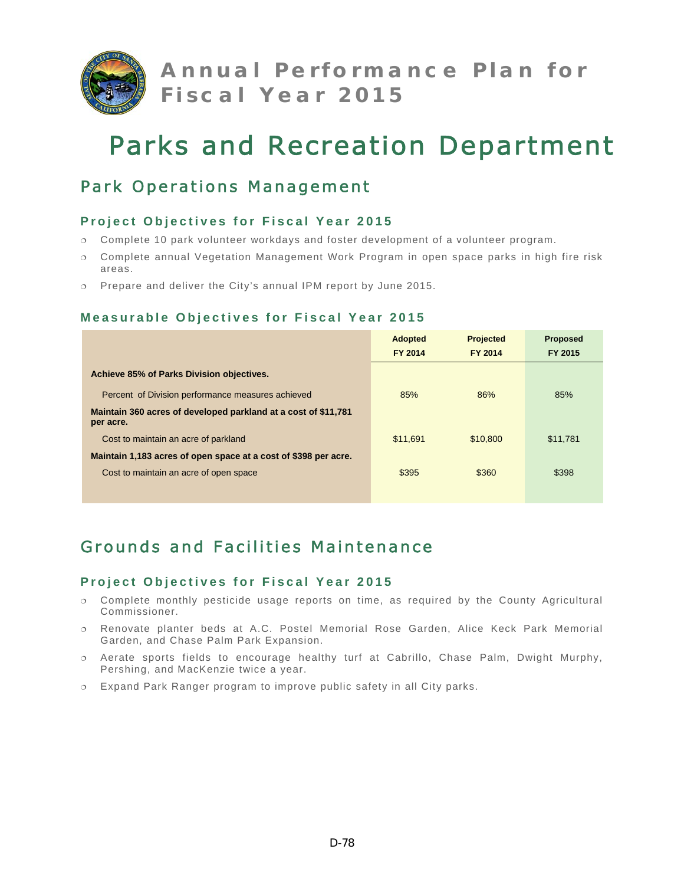

# Park Operations Management

## **Project Objectives for Fiscal Year 2015**

- Complete 10 park volunteer workdays and foster development of a volunteer program.
- Complete annual Vegetation Management Work Program in open space parks in high fire risk areas.
- Prepare and deliver the City's annual IPM report by June 2015.

## **Measurable Objectives for Fiscal Year 2015**

|                                                                             | <b>Adopted</b><br><b>FY 2014</b> | <b>Projected</b><br>FY 2014 | <b>Proposed</b><br>FY 2015 |
|-----------------------------------------------------------------------------|----------------------------------|-----------------------------|----------------------------|
| Achieve 85% of Parks Division objectives.                                   |                                  |                             |                            |
| Percent of Division performance measures achieved                           | 85%                              | 86%                         | 85%                        |
| Maintain 360 acres of developed parkland at a cost of \$11,781<br>per acre. |                                  |                             |                            |
| Cost to maintain an acre of parkland                                        | \$11.691                         | \$10,800                    | \$11,781                   |
| Maintain 1,183 acres of open space at a cost of \$398 per acre.             |                                  |                             |                            |
| Cost to maintain an acre of open space                                      | \$395                            | \$360                       | \$398                      |

# Grounds and Facilities Maintenance

- Complete monthly pesticide usage reports on time, as required by the County Agricultural Commissioner.
- Renovate planter beds at A.C. Postel Memorial Rose Garden, Alice Keck Park Memorial Garden, and Chase Palm Park Expansion.
- Aerate sports fields to encourage healthy turf at Cabrillo, Chase Palm, Dwight Murphy, Pershing, and MacKenzie twice a year.
- Expand Park Ranger program to improve public safety in all City parks.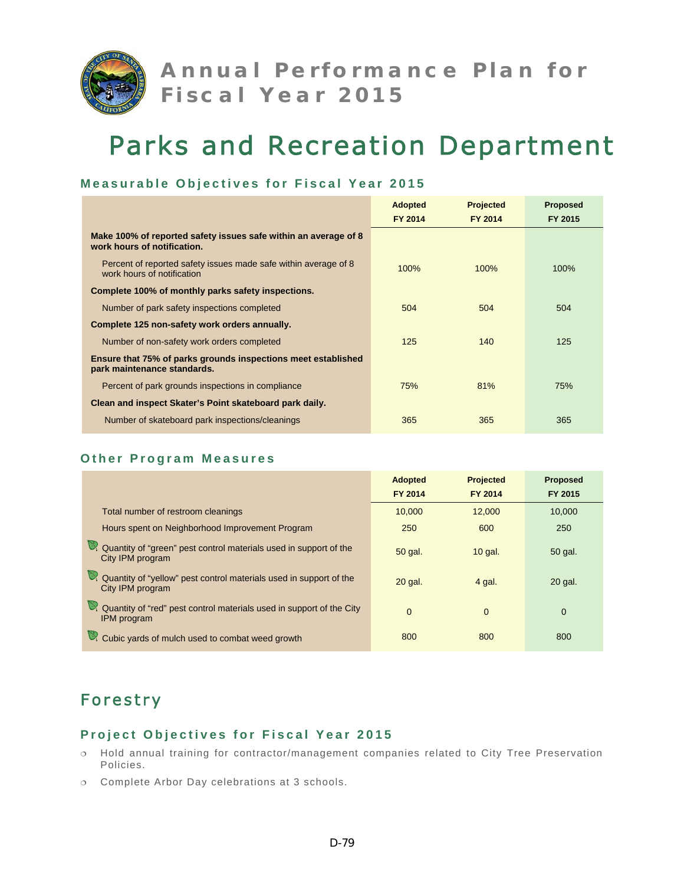

### **Measurable Objectives for Fiscal Year 2015**

|                                                                                                     | <b>Adopted</b> | <b>Projected</b> | <b>Proposed</b> |
|-----------------------------------------------------------------------------------------------------|----------------|------------------|-----------------|
|                                                                                                     | <b>FY 2014</b> | FY 2014          | FY 2015         |
| Make 100% of reported safety issues safe within an average of 8<br>work hours of notification.      |                |                  |                 |
| Percent of reported safety issues made safe within average of 8<br>work hours of notification       | 100%           | 100%             | 100%            |
| Complete 100% of monthly parks safety inspections.                                                  |                |                  |                 |
| Number of park safety inspections completed                                                         | 504            | 504              | 504             |
| Complete 125 non-safety work orders annually.                                                       |                |                  |                 |
| Number of non-safety work orders completed                                                          | 125            | 140              | 125             |
| <b>Ensure that 75% of parks grounds inspections meet established</b><br>park maintenance standards. |                |                  |                 |
| Percent of park grounds inspections in compliance                                                   | 75%            | 81%              | 75%             |
| Clean and inspect Skater's Point skateboard park daily.                                             |                |                  |                 |
| Number of skateboard park inspections/cleanings                                                     | 365            | 365              | 365             |

#### **Other Program Measures**

|                                                                                            | <b>Adopted</b><br><b>FY 2014</b> | <b>Projected</b><br><b>FY 2014</b> | <b>Proposed</b><br>FY 2015 |
|--------------------------------------------------------------------------------------------|----------------------------------|------------------------------------|----------------------------|
| Total number of restroom cleanings                                                         | 10.000                           | 12.000                             | 10.000                     |
| Hours spent on Neighborhood Improvement Program                                            | 250                              | 600                                | 250                        |
| Quantity of "green" pest control materials used in support of the<br>City IPM program      | 50 gal.                          | $10$ gal.                          | 50 gal.                    |
| Quantity of "yellow" pest control materials used in support of the<br>City IPM program     | 20 gal.                          | 4 gal.                             | 20 gal.                    |
| Quantity of "red" pest control materials used in support of the City<br><b>IPM</b> program | $\Omega$                         | $\Omega$                           | $\Omega$                   |
| Cubic yards of mulch used to combat weed growth                                            | 800                              | 800                                | 800                        |

# Forestry

- Hold annual training for contractor/management companies related to City Tree Preservation Policies.
- Complete Arbor Day celebrations at 3 schools.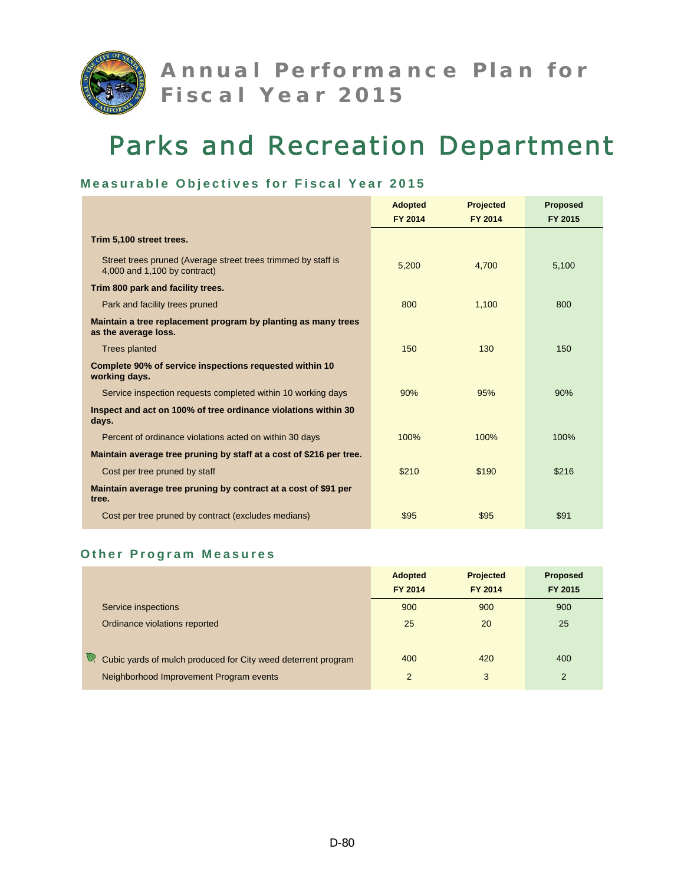

## **Measurable Objectives for Fiscal Year 2015**

|                                                                                               | <b>Adopted</b> | <b>Projected</b> | <b>Proposed</b> |
|-----------------------------------------------------------------------------------------------|----------------|------------------|-----------------|
|                                                                                               | <b>FY 2014</b> | FY 2014          | FY 2015         |
| Trim 5,100 street trees.                                                                      |                |                  |                 |
| Street trees pruned (Average street trees trimmed by staff is<br>4,000 and 1,100 by contract) | 5,200          | 4.700            | 5,100           |
| Trim 800 park and facility trees.                                                             |                |                  |                 |
| Park and facility trees pruned                                                                | 800            | 1.100            | 800             |
| Maintain a tree replacement program by planting as many trees<br>as the average loss.         |                |                  |                 |
| <b>Trees planted</b>                                                                          | 150            | 130              | 150             |
| Complete 90% of service inspections requested within 10<br>working days.                      |                |                  |                 |
| Service inspection requests completed within 10 working days                                  | 90%            | 95%              | 90%             |
| Inspect and act on 100% of tree ordinance violations within 30<br>days.                       |                |                  |                 |
| Percent of ordinance violations acted on within 30 days                                       | 100%           | 100%             | 100%            |
| Maintain average tree pruning by staff at a cost of \$216 per tree.                           |                |                  |                 |
| Cost per tree pruned by staff                                                                 | \$210          | \$190            | \$216           |
| Maintain average tree pruning by contract at a cost of \$91 per<br>tree.                      |                |                  |                 |
| Cost per tree pruned by contract (excludes medians)                                           | \$95           | \$95             | \$91            |

### **Other Program Measures**

|                                                               | <b>Adopted</b> | <b>Projected</b> | <b>Proposed</b> |
|---------------------------------------------------------------|----------------|------------------|-----------------|
|                                                               | FY 2014        | FY 2014          | FY 2015         |
| Service inspections                                           | 900            | 900              | 900             |
| Ordinance violations reported                                 | 25             | 20               | 25              |
| Cubic yards of mulch produced for City weed deterrent program | 400            | 420              | 400             |
| Neighborhood Improvement Program events                       | 2              | 3                | $\mathcal{P}$   |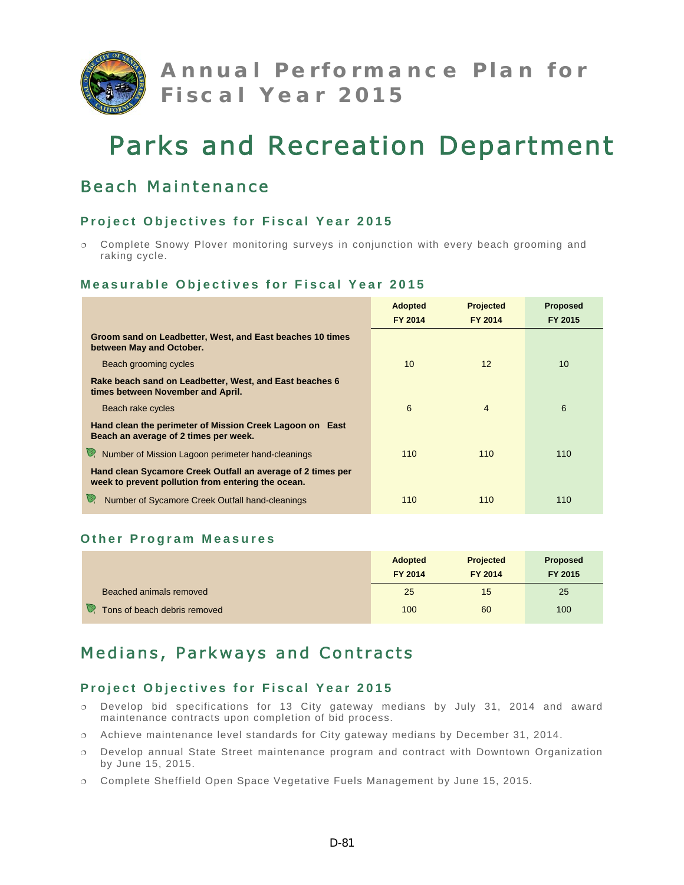

# Beach Maintenance

## **Project Objectives for Fiscal Year 2015**

 Complete Snowy Plover monitoring surveys in conjunction with every beach grooming and raking cycle.

### **Measurable Objectives for Fiscal Year 2015**

|                                                                                                                   | <b>Adopted</b> | <b>Projected</b> | <b>Proposed</b> |
|-------------------------------------------------------------------------------------------------------------------|----------------|------------------|-----------------|
|                                                                                                                   | FY 2014        | <b>FY 2014</b>   | FY 2015         |
| Groom sand on Leadbetter, West, and East beaches 10 times<br>between May and October.                             |                |                  |                 |
| Beach grooming cycles                                                                                             | 10             | 12               | 10              |
| Rake beach sand on Leadbetter, West, and East beaches 6<br>times between November and April.                      |                |                  |                 |
| Beach rake cycles                                                                                                 | 6              | $\overline{4}$   | 6               |
| Hand clean the perimeter of Mission Creek Lagoon on East<br>Beach an average of 2 times per week.                 |                |                  |                 |
| Number of Mission Lagoon perimeter hand-cleanings<br>V.                                                           | 110            | 110              | 110             |
| Hand clean Sycamore Creek Outfall an average of 2 times per<br>week to prevent pollution from entering the ocean. |                |                  |                 |
| Number of Sycamore Creek Outfall hand-cleanings                                                                   | 110            | 110              | 110             |

### **Other Program Measures**

|                                   | <b>Adopted</b><br>FY 2014 | <b>Projected</b><br>FY 2014 | <b>Proposed</b><br>FY 2015 |
|-----------------------------------|---------------------------|-----------------------------|----------------------------|
| Beached animals removed           | 25                        | 15                          | 25                         |
| V<br>Tons of beach debris removed | 100                       | 60                          | 100                        |

# Medians, Parkways and Contracts

- Develop bid specifications for 13 City gateway medians by July 31, 2014 and award maintenance contracts upon completion of bid process.
- Achieve maintenance level standards for City gateway medians by December 31, 2014.
- Develop annual State Street maintenance program and contract with Downtown Organization by June 15, 2015.
- Complete Sheffield Open Space Vegetative Fuels Management by June 15, 2015.